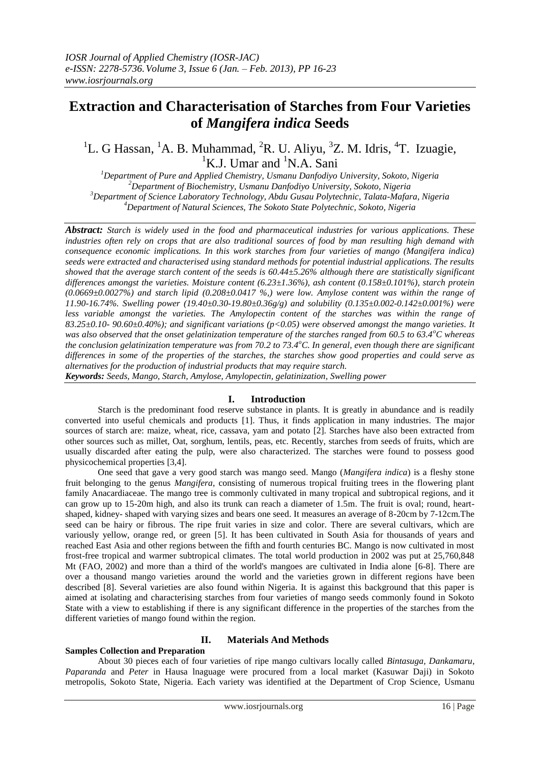# **Extraction and Characterisation of Starches from Four Varieties of** *Mangifera indica* **Seeds**

## <sup>1</sup>L. G Hassan, <sup>1</sup>A. B. Muhammad, <sup>2</sup>R. U. Aliyu, <sup>3</sup>Z. M. Idris, <sup>4</sup>T. Izuagie,  ${}^{1}$ K.J. Umar and  ${}^{1}$ N.A. Sani

*Department of Pure and Applied Chemistry, Usmanu Danfodiyo University, Sokoto, Nigeria Department of Biochemistry, Usmanu Danfodiyo University, Sokoto, Nigeria Department of Science Laboratory Technology, Abdu Gusau Polytechnic, Talata-Mafara, Nigeria Department of Natural Sciences, The Sokoto State Polytechnic, Sokoto, Nigeria*

*Abstract: Starch is widely used in the food and pharmaceutical industries for various applications. These industries often rely on crops that are also traditional sources of food by man resulting high demand with consequence economic implications. In this work starches from four varieties of mango (Mangifera indica) seeds were extracted and characterised using standard methods for potential industrial applications. The results showed that the average starch content of the seeds is 60.44±5.26% although there are statistically significant differences amongst the varieties. Moisture content (6.23±1.36%), ash content (0.158±0.101%), starch protein (0.0669±0.0027%) and starch lipid (0.208±0.0417 %,) were low. Amylose content was within the range of 11.90-16.74%. Swelling power (19.40±0.30-19.80±0.36g/g) and solubility (0.135±0.002-0.142±0.001%) were less variable amongst the varieties. The Amylopectin content of the starches was within the range of 83.25±0.10- 90.60±0.40%); and significant variations (p<0.05) were observed amongst the mango varieties. It was also observed that the onset gelatinization temperature of the starches ranged from 60.5 to 63.4<sup>o</sup>C whereas the conclusion gelatinization temperature was from 70.2 to 73.4<sup>o</sup>C. In general, even though there are significant differences in some of the properties of the starches, the starches show good properties and could serve as alternatives for the production of industrial products that may require starch.*

*Keywords: Seeds, Mango, Starch, Amylose, Amylopectin, gelatinization, Swelling power* 

#### **I. Introduction**

Starch is the predominant food reserve substance in plants. It is greatly in abundance and is readily converted into useful chemicals and products [1]. Thus, it finds application in many industries. The major sources of starch are: maize, wheat, rice, cassava, yam and potato [2]. Starches have also been extracted from other sources such as millet, Oat, sorghum, lentils, peas, etc. Recently, starches from seeds of fruits, which are usually discarded after eating the pulp, were also characterized. The starches were found to possess good physicochemical properties [3,4].

One seed that gave a very good starch was mango seed. Mango (*Mangifera indica*) is a fleshy stone fruit belonging to the genus *Mangifera*, consisting of numerous tropical fruiting trees in the flowering plant family Anacardiaceae. The mango tree is commonly cultivated in many tropical and subtropical regions, and it can grow up to 15-20m high, and also its trunk can reach a diameter of 1.5m. The fruit is oval; round, heartshaped, kidney- shaped with varying sizes and bears one seed. It measures an average of 8-20cm by 7-12cm.The seed can be hairy or fibrous. The ripe fruit varies in size and color. There are several cultivars, which are variously yellow, orange red, or green [5]. It has been cultivated in South Asia for thousands of years and reached East Asia and other regions between the fifth and fourth centuries BC. Mango is now cultivated in most frost-free tropical and warmer subtropical climates. The total world production in 2002 was put at 25,760,848 Mt (FAO, 2002) and more than a third of the world's mangoes are cultivated in India alone [6-8]. There are over a thousand mango varieties around the world and the varieties grown in different regions have been described [8]. Several varieties are also found within Nigeria. It is against this background that this paper is aimed at isolating and characterising starches from four varieties of mango seeds commonly found in Sokoto State with a view to establishing if there is any significant difference in the properties of the starches from the different varieties of mango found within the region.

## **Samples Collection and Preparation**

#### **II. Materials And Methods**

About 30 pieces each of four varieties of ripe mango cultivars locally called *Bintasuga, Dankamaru*, *Paparanda* and *Peter* in Hausa lnaguage were procured from a local market (Kasuwar Daji) in Sokoto metropolis, Sokoto State, Nigeria. Each variety was identified at the Department of Crop Science, Usmanu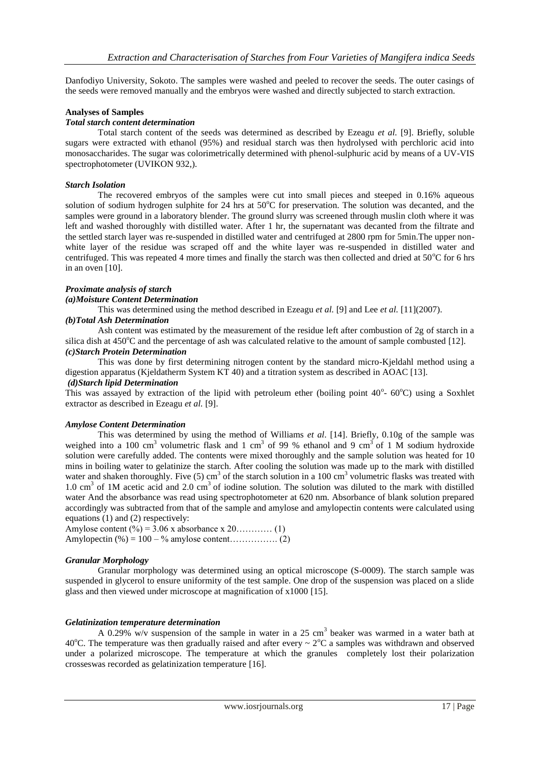Danfodiyo University, Sokoto. The samples were washed and peeled to recover the seeds. The outer casings of the seeds were removed manually and the embryos were washed and directly subjected to starch extraction.

#### **Analyses of Samples**

#### *Total starch content determination*

Total starch content of the seeds was determined as described by Ezeagu *et al.* [9]. Briefly, soluble sugars were extracted with ethanol (95%) and residual starch was then hydrolysed with perchloric acid into monosaccharides. The sugar was colorimetrically determined with phenol-sulphuric acid by means of a UV-VIS spectrophotometer (UVIKON 932,).

#### *Starch Isolation*

The recovered embryos of the samples were cut into small pieces and steeped in 0.16% aqueous solution of sodium hydrogen sulphite for 24 hrs at  $50^{\circ}$ C for preservation. The solution was decanted, and the samples were ground in a laboratory blender. The ground slurry was screened through muslin cloth where it was left and washed thoroughly with distilled water. After 1 hr, the supernatant was decanted from the filtrate and the settled starch layer was re-suspended in distilled water and centrifuged at 2800 rpm for 5min.The upper nonwhite layer of the residue was scraped off and the white layer was re-suspended in distilled water and centrifuged. This was repeated 4 more times and finally the starch was then collected and dried at  $50^{\circ}$ C for 6 hrs in an oven [10].

### *Proximate analysis of starch*

#### *(a)Moisture Content Determination*

This was determined using the method described in Ezeagu *et al.* [9] and Lee *et al.* [11](2007).

#### *(b)Total Ash Determination*

Ash content was estimated by the measurement of the residue left after combustion of 2g of starch in a silica dish at  $450^{\circ}$ C and the percentage of ash was calculated relative to the amount of sample combusted [12].

#### *(c)Starch Protein Determination*

This was done by first determining nitrogen content by the standard micro-Kjeldahl method using a digestion apparatus (Kjeldatherm System KT 40) and a titration system as described in AOAC [13].

#### *(d)Starch lipid Determination*

This was assayed by extraction of the lipid with petroleum ether (boiling point  $40^{\circ}$ -  $60^{\circ}$ C) using a Soxhlet extractor as described in Ezeagu *et al.* [9].

#### *Amylose Content Determination*

This was determined by using the method of Williams *et al*. [14]. Briefly, 0.10g of the sample was weighed into a 100 cm<sup>3</sup> volumetric flask and 1 cm<sup>3</sup> of 99 % ethanol and 9 cm<sup>3</sup> of 1 M sodium hydroxide solution were carefully added. The contents were mixed thoroughly and the sample solution was heated for 10 mins in boiling water to gelatinize the starch. After cooling the solution was made up to the mark with distilled water and shaken thoroughly. Five  $(5)$  cm<sup>3</sup> of the starch solution in a 100 cm<sup>3</sup> volumetric flasks was treated with  $1.0 \text{ cm}^3$  of 1M acetic acid and  $2.0 \text{ cm}^3$  of iodine solution. The solution was diluted to the mark with distilled water And the absorbance was read using spectrophotometer at 620 nm. Absorbance of blank solution prepared accordingly was subtracted from that of the sample and amylose and amylopectin contents were calculated using equations (1) and (2) respectively:

Amylose content  $(\frac{6}{9}) = 3.06$  x absorbance x 20………… (1) Amylopectin (%) = 100 – % amylose content……………. (2)

#### *Granular Morphology*

Granular morphology was determined using an optical microscope (S-0009). The starch sample was suspended in glycerol to ensure uniformity of the test sample. One drop of the suspension was placed on a slide glass and then viewed under microscope at magnification of x1000 [15].

#### *Gelatinization temperature determination*

A 0.29%  $w/v$  suspension of the sample in water in a 25 cm<sup>3</sup> beaker was warmed in a water bath at 40<sup>o</sup>C. The temperature was then gradually raised and after every  $\sim 2^{\circ}$ C a samples was withdrawn and observed under a polarized microscope. The temperature at which the granules completely lost their polarization crosseswas recorded as gelatinization temperature [16].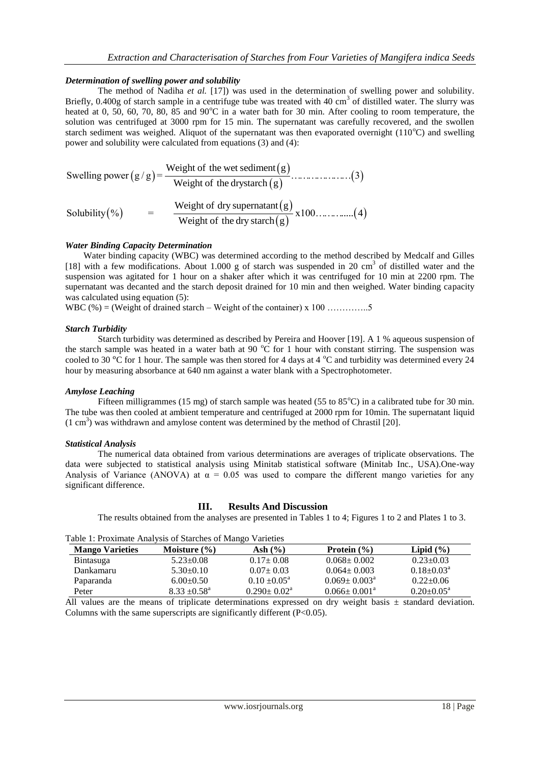#### *Determination of swelling power and solubility*

The method of Nadiha *et al.* [17]) was used in the determination of swelling power and solubility. Briefly,  $0.400g$  of starch sample in a centrifuge tube was treated with  $40 \text{ cm}^3$  of distilled water. The slurry was heated at 0, 50, 60, 70, 80, 85 and 90 $^{\circ}$ C in a water bath for 30 min. After cooling to room temperature, the solution was centrifuged at 3000 rpm for 15 min. The supernatant was carefully recovered, and the swollen starch sediment was weighed. Aliquot of the supernatant was then evaporated overnight  $(110^{\circ}C)$  and swelling

Such a system of the system, and the system is called the system of the system. The system is the following. The system of the system is given by:

\n
$$
Swelling power (g/g) = \frac{Weight of the system (g)}{Weight of the dry star of (g))}
$$
\nSolubility (%) = \frac{Weight of dry supernatant (g)}{Weight of the dry star of (g))} \times 100

\n3.100

\n4.100

#### *Water Binding Capacity Determination*

Water binding capacity (WBC) was determined according to the method described by Medcalf and Gilles [18] with a few modifications. About 1.000 g of starch was suspended in 20 cm<sup>3</sup> of distilled water and the suspension was agitated for 1 hour on a shaker after which it was centrifuged for 10 min at 2200 rpm. The supernatant was decanted and the starch deposit drained for 10 min and then weighed. Water binding capacity was calculated using equation  $(5)$ :

WBC  $(\%)$  = (Weight of drained starch – Weight of the container) x 100 ……………...5

#### *Starch Turbidity*

Starch turbidity was determined as described by Pereira and Hoover [19]. A 1 % aqueous suspension of the starch sample was heated in a water bath at 90  $^{\circ}$ C for 1 hour with constant stirring. The suspension was cooled to 30 °C for 1 hour. The sample was then stored for 4 days at 4 °C and turbidity was determined every 24 hour by measuring absorbance at 640 nm against a water blank with a Spectrophotometer.

#### *Amylose Leaching*

Fifteen milligrammes (15 mg) of starch sample was heated (55 to  $85^{\circ}$ C) in a calibrated tube for 30 min. The tube was then cooled at ambient temperature and centrifuged at 2000 rpm for 10min. The supernatant liquid  $(1 \text{ cm}^3)$  was withdrawn and amylose content was determined by the method of Chrastil [20].

#### *Statistical Analysis*

The numerical data obtained from various determinations are averages of triplicate observations. The data were subjected to statistical analysis using Minitab statistical software (Minitab Inc., USA).One-way Analysis of Variance (ANOVA) at  $\alpha = 0.05$  was used to compare the different mango varieties for any significant difference.

#### **III. Results And Discussion**

The results obtained from the analyses are presented in Tables 1 to 4; Figures 1 to 2 and Plates 1 to 3.

|  | Table 1: Proximate Analysis of Starches of Mango Varieties |  |  |  |
|--|------------------------------------------------------------|--|--|--|
|  |                                                            |  |  |  |

| 1 0010 11 1 10/11/11000 1 11101 1919 01 D.MIVIIV9 01 11101160 - 1 01101109 |                         |                          |                              |                            |
|----------------------------------------------------------------------------|-------------------------|--------------------------|------------------------------|----------------------------|
| <b>Mango Varieties</b>                                                     | Moisture $(\% )$        | Ash (%)                  | Protein $(\% )$              | Lipid $(\% )$              |
| Bintasuga                                                                  | $5.23 \pm 0.08$         | $0.17 \pm 0.08$          | $0.068 \pm 0.002$            | $0.23 \pm 0.03$            |
| Dankamaru                                                                  | $5.30+0.10$             | $0.07 \pm 0.03$          | $0.064 \pm 0.003$            | $0.18 \pm 0.03^{\text{a}}$ |
| Paparanda                                                                  | $6.00+0.50$             | $0.10 \pm 0.05^{\circ}$  | $0.069 \pm 0.003^{\circ}$    | $0.22 \pm 0.06$            |
| Peter                                                                      | $8.33 \pm 0.58^{\circ}$ | $0.290 \pm 0.02^{\circ}$ | $0.066 \pm 0.001^{\text{a}}$ | $0.20 \pm 0.05^{\text{a}}$ |

All values are the means of triplicate determinations expressed on dry weight basis  $\pm$  standard deviation. Columns with the same superscripts are significantly different  $(P<0.05)$ .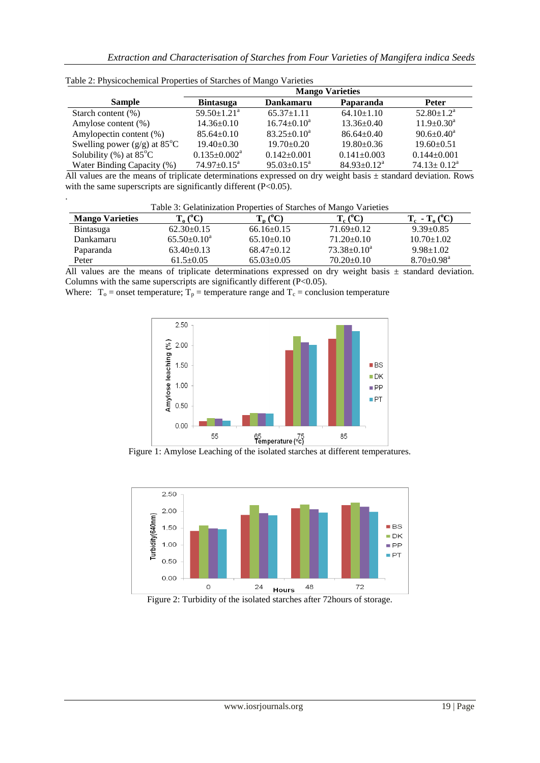|                                             | <b>Mango Varieties</b>       |                             |                    |                            |
|---------------------------------------------|------------------------------|-----------------------------|--------------------|----------------------------|
| <b>Sample</b>                               | <b>Bintasuga</b>             | <b>Dankamaru</b>            | Paparanda          | <b>Peter</b>               |
| Starch content $(\%)$                       | $59.50 \pm 1.21^{\circ}$     | $65.37 \pm 1.11$            | $64.10 \pm 1.10$   | $52.80 \pm 1.2^{\text{a}}$ |
| Amylose content (%)                         | $14.36 \pm 0.10$             | $16.74 \pm 0.10^a$          | $13.36 \pm 0.40$   | $11.9 \pm 0.30^a$          |
| Amylopectin content (%)                     | $85.64 \pm 0.10$             | $83.25 \pm 0.10^a$          | $86.64 \pm 0.40$   | $90.6 \pm 0.40^a$          |
| Swelling power $(g/g)$ at 85 <sup>°</sup> C | $19.40 \pm 0.30$             | $19.70 \pm 0.20$            | $19.80 \pm 0.36$   | $19.60 \pm 0.51$           |
| Solubility $(\%)$ at 85 $^{\circ}$ C        | $0.135 \pm 0.002^{\text{a}}$ | $0.142 \pm 0.001$           | $0.141 \pm 0.003$  | $0.144 \pm 0.001$          |
| Water Binding Capacity (%)                  | $74.97 \pm 0.15^{\text{a}}$  | $95.03 \pm 0.15^{\text{a}}$ | $84.93 \pm 0.12^a$ | $74.13 \pm 0.12^a$         |

Table 2: Physicochemical Properties of Starches of Mango Varieties

.

All values are the means of triplicate determinations expressed on dry weight basis ± standard deviation. Rows with the same superscripts are significantly different (P<0.05).

| Table 3: Gelatinization Properties of Starches of Mango Varieties |                     |                  |                    |                              |  |
|-------------------------------------------------------------------|---------------------|------------------|--------------------|------------------------------|--|
| <b>Mango Varieties</b>                                            | $T_{o} (^{\circ}C)$ | $T_n (^0C)$      | $T_c (^0C)$        | $T_c$ - $T_o(^{\circ}C)$     |  |
| Bintasuga                                                         | $62.30\pm0.15$      | $66.16 \pm 0.15$ | $71.69 \pm 0.12$   | $9.39 \pm 0.85$              |  |
| Dankamaru                                                         | $65.50 \pm 0.10^a$  | $65.10 \pm 0.10$ | $71.20 \pm 0.10$   | $10.70 \pm 1.02$             |  |
| Paparanda                                                         | $63.40 \pm 0.13$    | $68.47 \pm 0.12$ | $73.38 \pm 0.10^a$ | $9.98 \pm 1.02$              |  |
| Peter                                                             | $61.5 \pm 0.05$     | $65.03 \pm 0.05$ | $70.20 \pm 0.10$   | $8.70 \pm 0.98$ <sup>a</sup> |  |

All values are the means of triplicate determinations expressed on dry weight basis  $\pm$  standard deviation. Columns with the same superscripts are significantly different (P<0.05).

Where:  $T_0$  = onset temperature;  $T_p$  = temperature range and  $T_c$  = conclusion temperature



Figure 1: Amylose Leaching of the isolated starches at different temperatures.



Figure 2: Turbidity of the isolated starches after 72hours of storage.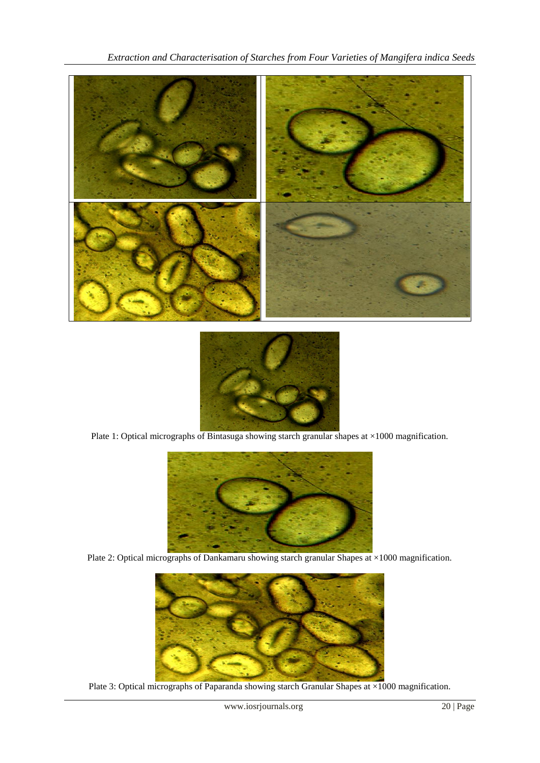



Plate 1: Optical micrographs of Bintasuga showing starch granular shapes at ×1000 magnification.



Plate 2: Optical micrographs of Dankamaru showing starch granular Shapes at ×1000 magnification.



Plate 3: Optical micrographs of Paparanda showing starch Granular Shapes at ×1000 magnification.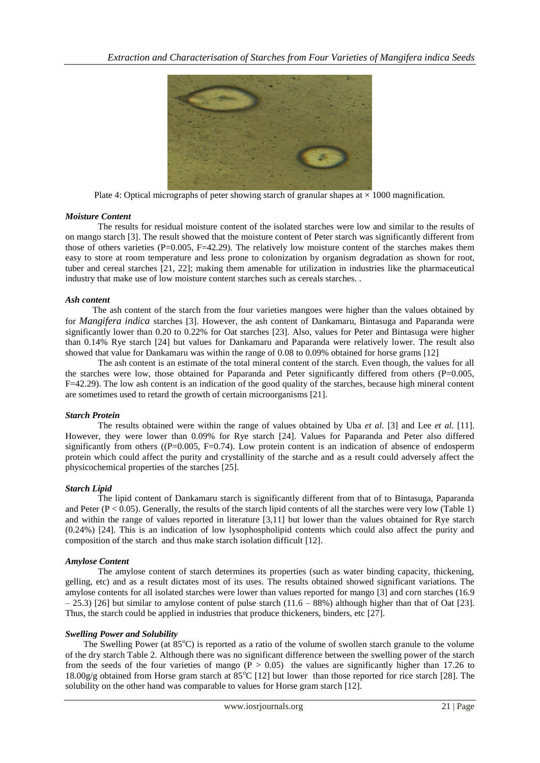

Plate 4: Optical micrographs of peter showing starch of granular shapes at  $\times$  1000 magnification.

#### *Moisture Content*

The results for residual moisture content of the isolated starches were low and similar to the results of on mango starch [3]. The result showed that the moisture content of Peter starch was significantly different from those of others varieties (P=0.005, F=42.29). The relatively low moisture content of the starches makes them easy to store at room temperature and less prone to colonization by organism degradation as shown for root, tuber and cereal starches [21, 22]; making them amenable for utilization in industries like the pharmaceutical industry that make use of low moisture content starches such as cereals starches. .

#### *Ash content*

 The ash content of the starch from the four varieties mangoes were higher than the values obtained by for *Mangifera indica* starches [3]. However, the ash content of Dankamaru, Bintasuga and Paparanda were significantly lower than 0.20 to 0.22% for Oat starches [23]. Also, values for Peter and Bintasuga were higher than 0.14% Rye starch [24] but values for Dankamaru and Paparanda were relatively lower. The result also showed that value for Dankamaru was within the range of 0.08 to 0.09% obtained for horse grams [12]

The ash content is an estimate of the total mineral content of the starch. Even though, the values for all the starches were low, those obtained for Paparanda and Peter significantly differed from others (P=0.005, F=42.29). The low ash content is an indication of the good quality of the starches, because high mineral content are sometimes used to retard the growth of certain microorganisms [21].

#### *Starch Protein*

The results obtained were within the range of values obtained by Uba *et al.* [3] and Lee *et al.* [11]. However, they were lower than 0.09% for Rye starch [24]. Values for Paparanda and Peter also differed significantly from others ( $(P=0.005, F=0.74)$ ). Low protein content is an indication of absence of endosperm protein which could affect the purity and crystallinity of the starche and as a result could adversely affect the physicochemical properties of the starches [25].

#### *Starch Lipid*

The lipid content of Dankamaru starch is significantly different from that of to Bintasuga, Paparanda and Peter ( $P < 0.05$ ). Generally, the results of the starch lipid contents of all the starches were very low (Table 1) and within the range of values reported in literature [3,11] but lower than the values obtained for Rye starch (0.24%) [24]. This is an indication of low lysophospholipid contents which could also affect the purity and composition of the starch and thus make starch isolation difficult [12].

#### *Amylose Content*

The amylose content of starch determines its properties (such as water binding capacity, thickening, gelling, etc) and as a result dictates most of its uses. The results obtained showed significant variations. The amylose contents for all isolated starches were lower than values reported for mango [3] and corn starches (16.9  $-25.3$ ) [26] but similar to amylose content of pulse starch (11.6 – 88%) although higher than that of Oat [23]. Thus, the starch could be applied in industries that produce thickeners, binders, etc [27].

#### *Swelling Power and Solubility*

The Swelling Power (at 85<sup>o</sup>C) is reported as a ratio of the volume of swollen starch granule to the volume of the dry starch Table 2. Although there was no significant difference between the swelling power of the starch from the seeds of the four varieties of mango  $(P > 0.05)$  the values are significantly higher than 17.26 to 18.00g/g obtained from Horse gram starch at  $85^{\circ}$ C [12] but lower than those reported for rice starch [28]. The solubility on the other hand was comparable to values for Horse gram starch [12].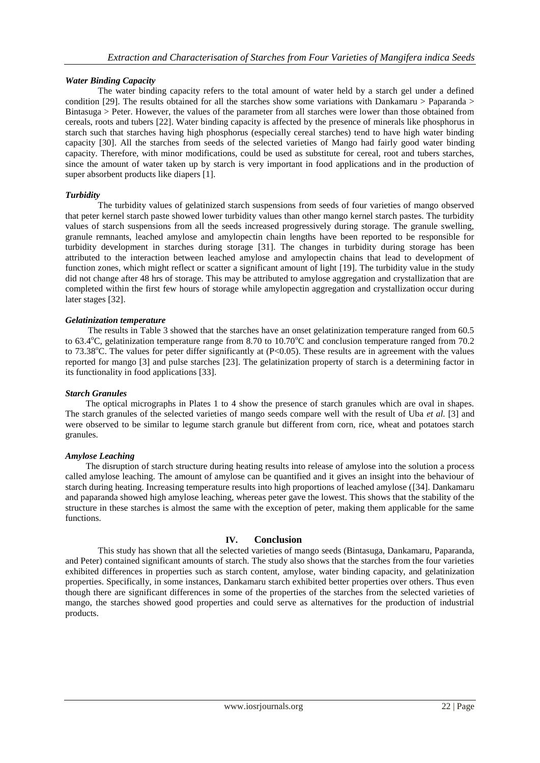#### *Water Binding Capacity*

 The water binding capacity refers to the total amount of water held by a starch gel under a defined condition [29]. The results obtained for all the starches show some variations with Dankamaru > Paparanda > Bintasuga > Peter. However, the values of the parameter from all starches were lower than those obtained from cereals, roots and tubers [22]. Water binding capacity is affected by the presence of minerals like phosphorus in starch such that starches having high phosphorus (especially cereal starches) tend to have high water binding capacity [30]. All the starches from seeds of the selected varieties of Mango had fairly good water binding capacity. Therefore, with minor modifications, could be used as substitute for cereal, root and tubers starches, since the amount of water taken up by starch is very important in food applications and in the production of super absorbent products like diapers [1].

#### *Turbidity*

The turbidity values of gelatinized starch suspensions from seeds of four varieties of mango observed that peter kernel starch paste showed lower turbidity values than other mango kernel starch pastes. The turbidity values of starch suspensions from all the seeds increased progressively during storage. The granule swelling, granule remnants, leached amylose and amylopectin chain lengths have been reported to be responsible for turbidity development in starches during storage [31]. The changes in turbidity during storage has been attributed to the interaction between leached amylose and amylopectin chains that lead to development of function zones, which might reflect or scatter a significant amount of light [19]. The turbidity value in the study did not change after 48 hrs of storage. This may be attributed to amylose aggregation and crystallization that are completed within the first few hours of storage while amylopectin aggregation and crystallization occur during later stages [32].

#### *Gelatinization temperature*

The results in Table 3 showed that the starches have an onset gelatinization temperature ranged from 60.5 to 63.4 $^{\circ}$ C, gelatinization temperature range from 8.70 to 10.70 $^{\circ}$ C and conclusion temperature ranged from 70.2 to 73.38 $^{\circ}$ C. The values for peter differ significantly at (P<0.05). These results are in agreement with the values reported for mango [3] and pulse starches [23]. The gelatinization property of starch is a determining factor in its functionality in food applications [33].

#### *Starch Granules*

The optical micrographs in Plates 1 to 4 show the presence of starch granules which are oval in shapes. The starch granules of the selected varieties of mango seeds compare well with the result of Uba *et al.* [3] and were observed to be similar to legume starch granule but different from corn, rice, wheat and potatoes starch granules.

#### *Amylose Leaching*

 The disruption of starch structure during heating results into release of amylose into the solution a process called amylose leaching. The amount of amylose can be quantified and it gives an insight into the behaviour of starch during heating. Increasing temperature results into high proportions of leached amylose ([34]. Dankamaru and paparanda showed high amylose leaching, whereas peter gave the lowest. This shows that the stability of the structure in these starches is almost the same with the exception of peter, making them applicable for the same functions.

#### **IV. Conclusion**

This study has shown that all the selected varieties of mango seeds (Bintasuga, Dankamaru, Paparanda, and Peter) contained significant amounts of starch. The study also shows that the starches from the four varieties exhibited differences in properties such as starch content, amylose, water binding capacity, and gelatinization properties. Specifically, in some instances, Dankamaru starch exhibited better properties over others. Thus even though there are significant differences in some of the properties of the starches from the selected varieties of mango, the starches showed good properties and could serve as alternatives for the production of industrial products.